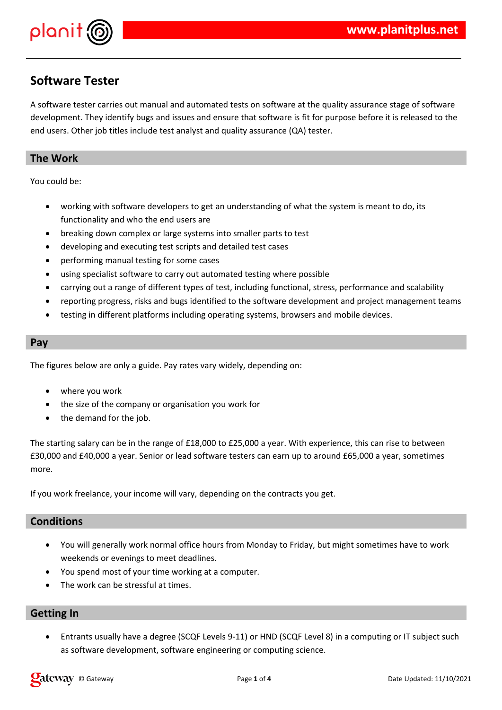

## **Software Tester**

A software tester carries out manual and automated tests on software at the quality assurance stage of software development. They identify bugs and issues and ensure that software is fit for purpose before it is released to the end users. Other job titles include test analyst and quality assurance (QA) tester.

### **The Work**

You could be:

- working with software developers to get an understanding of what the system is meant to do, its functionality and who the end users are
- breaking down complex or large systems into smaller parts to test
- developing and executing test scripts and detailed test cases
- performing manual testing for some cases
- using specialist software to carry out automated testing where possible
- carrying out a range of different types of test, including functional, stress, performance and scalability
- reporting progress, risks and bugs identified to the software development and project management teams
- testing in different platforms including operating systems, browsers and mobile devices.

#### **Pay**

The figures below are only a guide. Pay rates vary widely, depending on:

- where you work
- the size of the company or organisation you work for
- the demand for the job.

The starting salary can be in the range of £18,000 to £25,000 a year. With experience, this can rise to between £30,000 and £40,000 a year. Senior or lead software testers can earn up to around £65,000 a year, sometimes more.

If you work freelance, your income will vary, depending on the contracts you get.

#### **Conditions**

- You will generally work normal office hours from Monday to Friday, but might sometimes have to work weekends or evenings to meet deadlines.
- You spend most of your time working at a computer.
- The work can be stressful at times.

#### **Getting In**

 Entrants usually have a degree (SCQF Levels 9-11) or HND (SCQF Level 8) in a computing or IT subject such as software development, software engineering or computing science.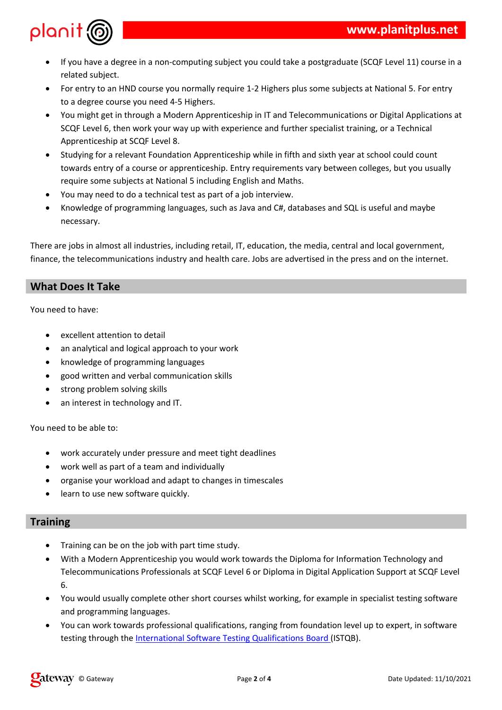



 $\mathcal{L}$ 







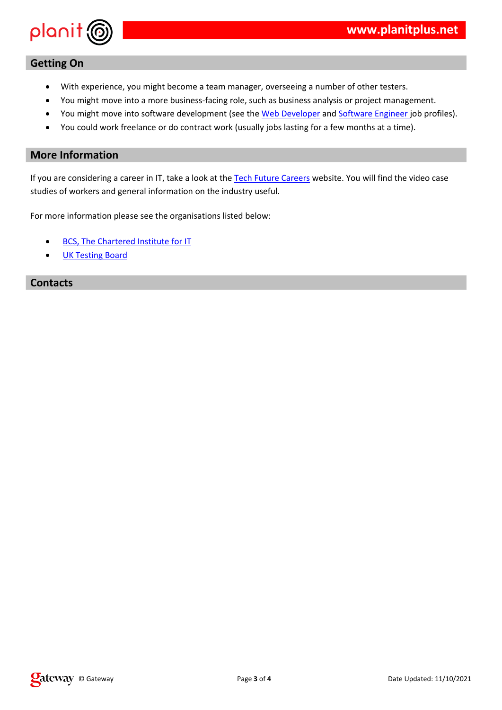